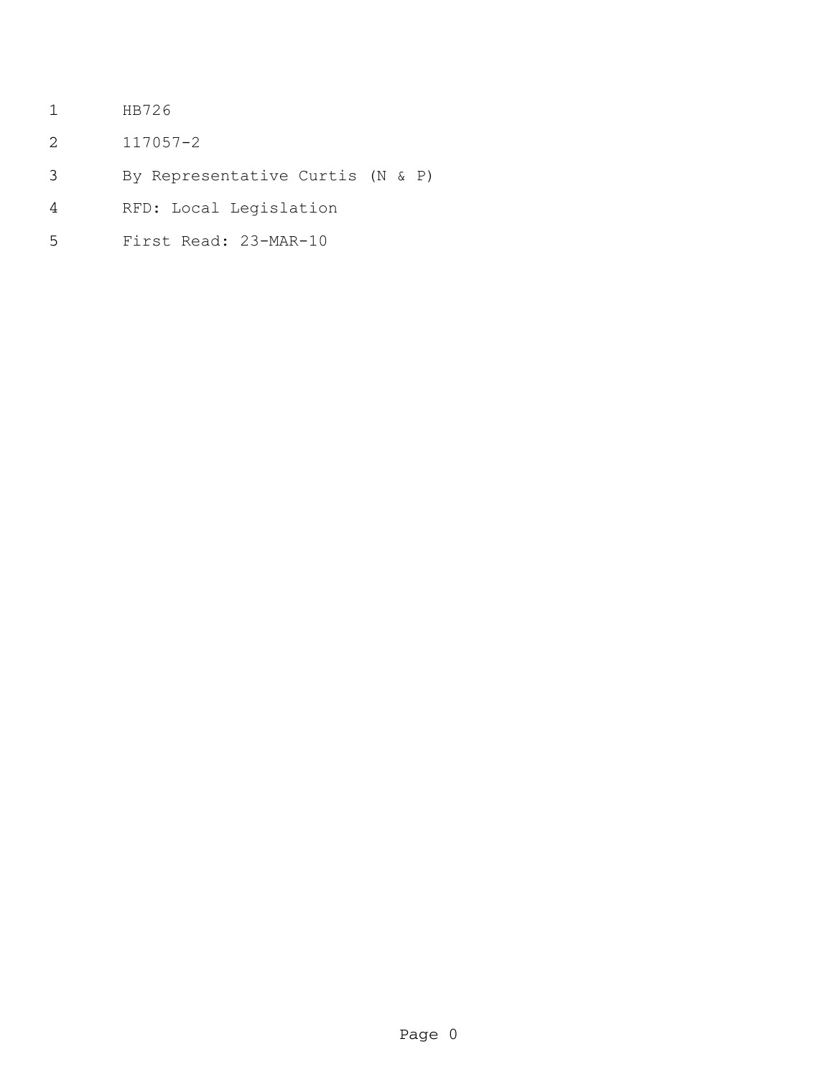- HB726
- 117057-2
- By Representative Curtis (N & P)
- RFD: Local Legislation
- First Read: 23-MAR-10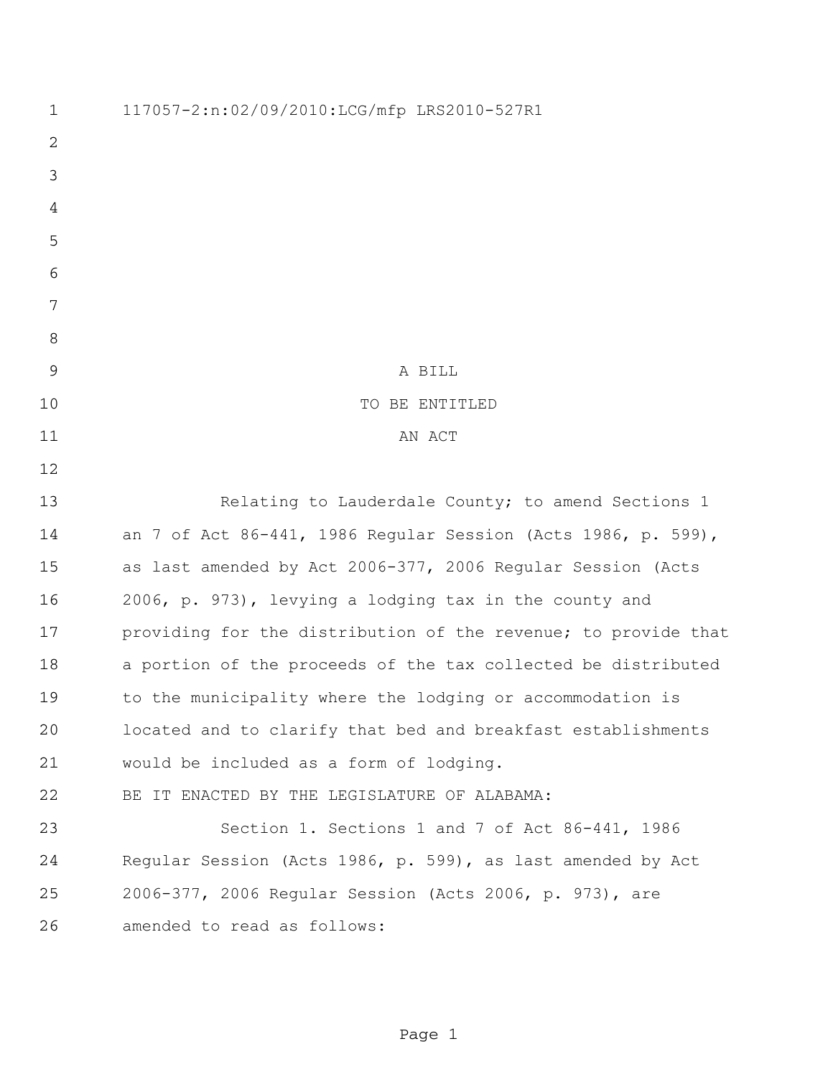| 1              | 117057-2:n:02/09/2010:LCG/mfp LRS2010-527R1                    |
|----------------|----------------------------------------------------------------|
| $\overline{2}$ |                                                                |
| 3              |                                                                |
| 4              |                                                                |
| 5              |                                                                |
| 6              |                                                                |
| 7              |                                                                |
| 8              |                                                                |
| $\mathsf 9$    | A BILL                                                         |
| 10             | TO BE ENTITLED                                                 |
| 11             | AN ACT                                                         |
| 12             |                                                                |
| 13             | Relating to Lauderdale County; to amend Sections 1             |
| 14             | an 7 of Act 86-441, 1986 Regular Session (Acts 1986, p. 599),  |
| 15             | as last amended by Act 2006-377, 2006 Regular Session (Acts    |
| 16             | 2006, p. 973), levying a lodging tax in the county and         |
| 17             | providing for the distribution of the revenue; to provide that |
| 18             | a portion of the proceeds of the tax collected be distributed  |
| 19             | to the municipality where the lodging or accommodation is      |
| 20             | located and to clarify that bed and breakfast establishments   |
| 21             | would be included as a form of lodging.                        |
| 22             | BE IT ENACTED BY THE LEGISLATURE OF ALABAMA:                   |
| 23             | Section 1. Sections 1 and 7 of Act 86-441, 1986                |
| 24             | Regular Session (Acts 1986, p. 599), as last amended by Act    |
| 25             | 2006-377, 2006 Regular Session (Acts 2006, p. 973), are        |
| 26             | amended to read as follows:                                    |
|                |                                                                |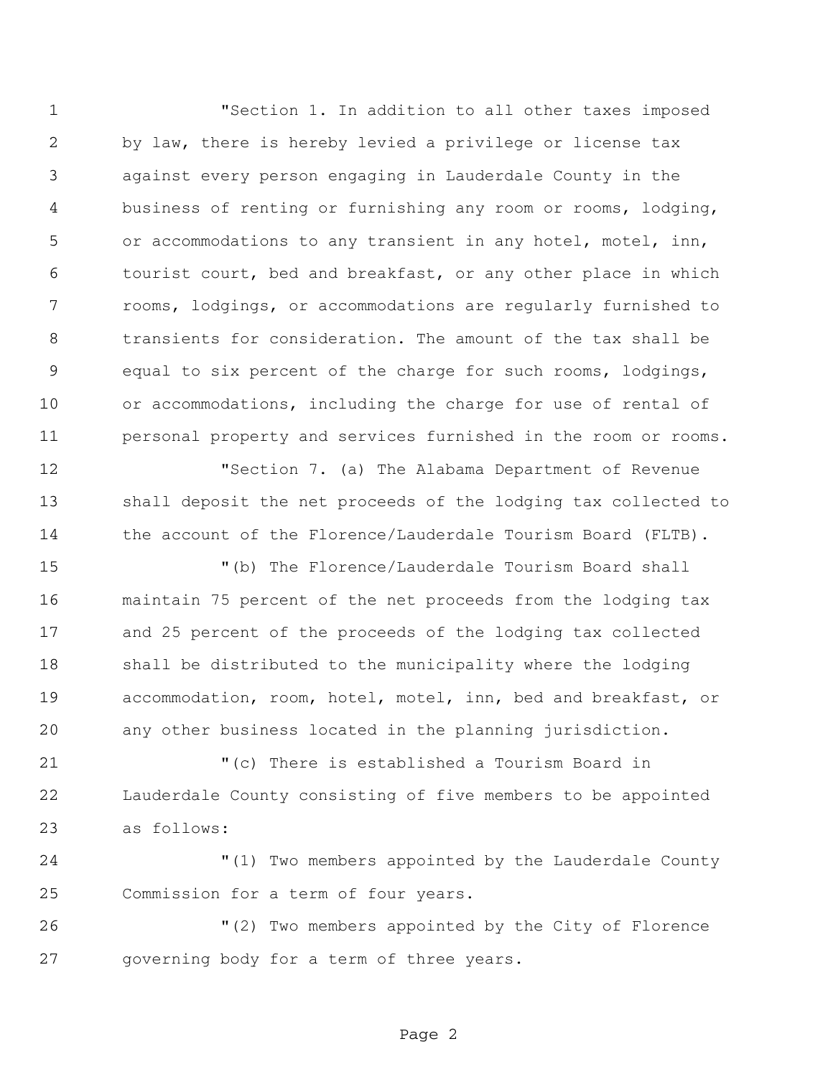"Section 1. In addition to all other taxes imposed by law, there is hereby levied a privilege or license tax against every person engaging in Lauderdale County in the business of renting or furnishing any room or rooms, lodging, or accommodations to any transient in any hotel, motel, inn, tourist court, bed and breakfast, or any other place in which rooms, lodgings, or accommodations are regularly furnished to transients for consideration. The amount of the tax shall be equal to six percent of the charge for such rooms, lodgings, or accommodations, including the charge for use of rental of personal property and services furnished in the room or rooms.

 "Section 7. (a) The Alabama Department of Revenue shall deposit the net proceeds of the lodging tax collected to the account of the Florence/Lauderdale Tourism Board (FLTB).

 "(b) The Florence/Lauderdale Tourism Board shall maintain 75 percent of the net proceeds from the lodging tax and 25 percent of the proceeds of the lodging tax collected shall be distributed to the municipality where the lodging accommodation, room, hotel, motel, inn, bed and breakfast, or any other business located in the planning jurisdiction.

 "(c) There is established a Tourism Board in Lauderdale County consisting of five members to be appointed as follows:

 "(1) Two members appointed by the Lauderdale County Commission for a term of four years.

 "(2) Two members appointed by the City of Florence governing body for a term of three years.